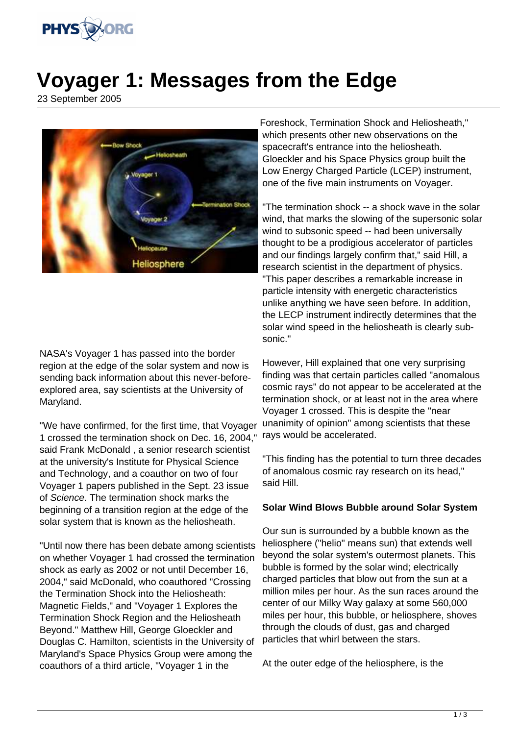

## **Voyager 1: Messages from the Edge**

23 September 2005



NASA's Voyager 1 has passed into the border region at the edge of the solar system and now is sending back information about this never-beforeexplored area, say scientists at the University of Maryland.

"We have confirmed, for the first time, that Voyager 1 crossed the termination shock on Dec. 16, 2004," said Frank McDonald , a senior research scientist at the university's Institute for Physical Science and Technology, and a coauthor on two of four Voyager 1 papers published in the Sept. 23 issue of Science. The termination shock marks the beginning of a transition region at the edge of the solar system that is known as the heliosheath.

"Until now there has been debate among scientists on whether Voyager 1 had crossed the termination shock as early as 2002 or not until December 16, 2004," said McDonald, who coauthored "Crossing the Termination Shock into the Heliosheath: Magnetic Fields," and "Voyager 1 Explores the Termination Shock Region and the Heliosheath Beyond." Matthew Hill, George Gloeckler and Douglas C. Hamilton, scientists in the University of Maryland's Space Physics Group were among the coauthors of a third article, "Voyager 1 in the

Foreshock, Termination Shock and Heliosheath," which presents other new observations on the spacecraft's entrance into the heliosheath. Gloeckler and his Space Physics group built the Low Energy Charged Particle (LCEP) instrument, one of the five main instruments on Voyager.

"The termination shock -- a shock wave in the solar wind, that marks the slowing of the supersonic solar wind to subsonic speed -- had been universally thought to be a prodigious accelerator of particles and our findings largely confirm that," said Hill, a research scientist in the department of physics. "This paper describes a remarkable increase in particle intensity with energetic characteristics unlike anything we have seen before. In addition, the LECP instrument indirectly determines that the solar wind speed in the heliosheath is clearly subsonic."

However, Hill explained that one very surprising finding was that certain particles called "anomalous cosmic rays" do not appear to be accelerated at the termination shock, or at least not in the area where Voyager 1 crossed. This is despite the "near unanimity of opinion" among scientists that these rays would be accelerated.

"This finding has the potential to turn three decades of anomalous cosmic ray research on its head," said Hill.

## **Solar Wind Blows Bubble around Solar System**

Our sun is surrounded by a bubble known as the heliosphere ("helio" means sun) that extends well beyond the solar system's outermost planets. This bubble is formed by the solar wind; electrically charged particles that blow out from the sun at a million miles per hour. As the sun races around the center of our Milky Way galaxy at some 560,000 miles per hour, this bubble, or heliosphere, shoves through the clouds of dust, gas and charged particles that whirl between the stars.

At the outer edge of the heliosphere, is the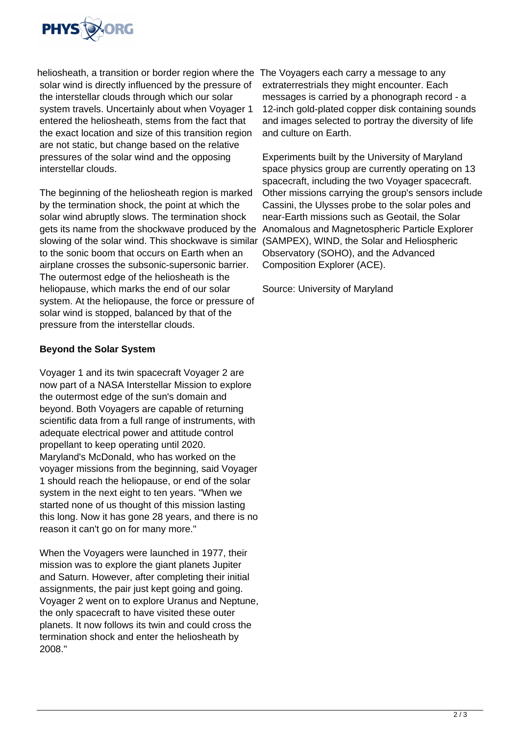

heliosheath, a transition or border region where the The Voyagers each carry a message to any solar wind is directly influenced by the pressure of the interstellar clouds through which our solar system travels. Uncertainly about when Voyager 1 entered the heliosheath, stems from the fact that the exact location and size of this transition region are not static, but change based on the relative pressures of the solar wind and the opposing interstellar clouds.

The beginning of the heliosheath region is marked by the termination shock, the point at which the solar wind abruptly slows. The termination shock gets its name from the shockwave produced by the Anomalous and Magnetospheric Particle Explorer slowing of the solar wind. This shockwave is similar (SAMPEX), WIND, the Solar and Heliospheric to the sonic boom that occurs on Earth when an airplane crosses the subsonic-supersonic barrier. The outermost edge of the heliosheath is the heliopause, which marks the end of our solar system. At the heliopause, the force or pressure of solar wind is stopped, balanced by that of the pressure from the interstellar clouds.

## **Beyond the Solar System**

Voyager 1 and its twin spacecraft Voyager 2 are now part of a NASA Interstellar Mission to explore the outermost edge of the sun's domain and beyond. Both Voyagers are capable of returning scientific data from a full range of instruments, with adequate electrical power and attitude control propellant to keep operating until 2020. Maryland's McDonald, who has worked on the voyager missions from the beginning, said Voyager 1 should reach the heliopause, or end of the solar system in the next eight to ten years. "When we started none of us thought of this mission lasting this long. Now it has gone 28 years, and there is no reason it can't go on for many more."

When the Voyagers were launched in 1977, their mission was to explore the giant planets Jupiter and Saturn. However, after completing their initial assignments, the pair just kept going and going. Voyager 2 went on to explore Uranus and Neptune, the only spacecraft to have visited these outer planets. It now follows its twin and could cross the termination shock and enter the heliosheath by 2008."

extraterrestrials they might encounter. Each messages is carried by a phonograph record - a 12-inch gold-plated copper disk containing sounds and images selected to portray the diversity of life and culture on Earth.

Experiments built by the University of Maryland space physics group are currently operating on 13 spacecraft, including the two Voyager spacecraft. Other missions carrying the group's sensors include Cassini, the Ulysses probe to the solar poles and near-Earth missions such as Geotail, the Solar Observatory (SOHO), and the Advanced Composition Explorer (ACE).

Source: University of Maryland